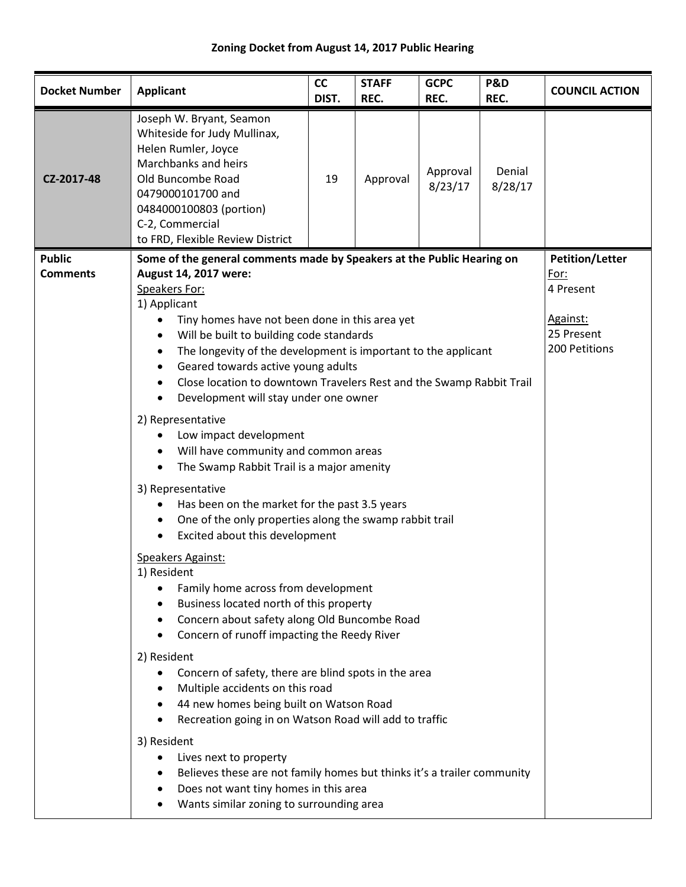## **Zoning Docket from August 14, 2017 Public Hearing**

| <b>Docket Number</b>             | <b>Applicant</b>                                                                                                                                                                                                                                                                                                                                                                                                                                                                                                                                                                                                                                                                                                                                                                                                                                                                                                                                                                                                                                                                                                                                                                                                                                                                                                                                                                                                                                                                            | <b>CC</b><br>DIST. | <b>STAFF</b><br>REC. | <b>GCPC</b><br>REC. | P&D<br>REC.       | <b>COUNCIL ACTION</b>                                                                  |
|----------------------------------|---------------------------------------------------------------------------------------------------------------------------------------------------------------------------------------------------------------------------------------------------------------------------------------------------------------------------------------------------------------------------------------------------------------------------------------------------------------------------------------------------------------------------------------------------------------------------------------------------------------------------------------------------------------------------------------------------------------------------------------------------------------------------------------------------------------------------------------------------------------------------------------------------------------------------------------------------------------------------------------------------------------------------------------------------------------------------------------------------------------------------------------------------------------------------------------------------------------------------------------------------------------------------------------------------------------------------------------------------------------------------------------------------------------------------------------------------------------------------------------------|--------------------|----------------------|---------------------|-------------------|----------------------------------------------------------------------------------------|
| CZ-2017-48                       | Joseph W. Bryant, Seamon<br>Whiteside for Judy Mullinax,<br>Helen Rumler, Joyce<br>Marchbanks and heirs<br>Old Buncombe Road<br>0479000101700 and<br>0484000100803 (portion)<br>C-2, Commercial<br>to FRD, Flexible Review District                                                                                                                                                                                                                                                                                                                                                                                                                                                                                                                                                                                                                                                                                                                                                                                                                                                                                                                                                                                                                                                                                                                                                                                                                                                         | 19                 | Approval             | Approval<br>8/23/17 | Denial<br>8/28/17 |                                                                                        |
| <b>Public</b><br><b>Comments</b> | Some of the general comments made by Speakers at the Public Hearing on<br>August 14, 2017 were:<br>Speakers For:<br>1) Applicant<br>Tiny homes have not been done in this area yet<br>٠<br>Will be built to building code standards<br>The longevity of the development is important to the applicant<br>Geared towards active young adults<br>$\bullet$<br>Close location to downtown Travelers Rest and the Swamp Rabbit Trail<br>Development will stay under one owner<br>2) Representative<br>Low impact development<br>Will have community and common areas<br>$\bullet$<br>The Swamp Rabbit Trail is a major amenity<br>$\bullet$<br>3) Representative<br>Has been on the market for the past 3.5 years<br>One of the only properties along the swamp rabbit trail<br>$\bullet$<br>Excited about this development<br>$\bullet$<br>Speakers Against:<br>1) Resident<br>Family home across from development<br>٠<br>Business located north of this property<br>Concern about safety along Old Buncombe Road<br>Concern of runoff impacting the Reedy River<br>٠<br>2) Resident<br>Concern of safety, there are blind spots in the area<br>Multiple accidents on this road<br>44 new homes being built on Watson Road<br>Recreation going in on Watson Road will add to traffic<br>3) Resident<br>Lives next to property<br>Believes these are not family homes but thinks it's a trailer community<br>Does not want tiny homes in this area<br>Wants similar zoning to surrounding area |                    |                      |                     |                   | <b>Petition/Letter</b><br>For:<br>4 Present<br>Against:<br>25 Present<br>200 Petitions |